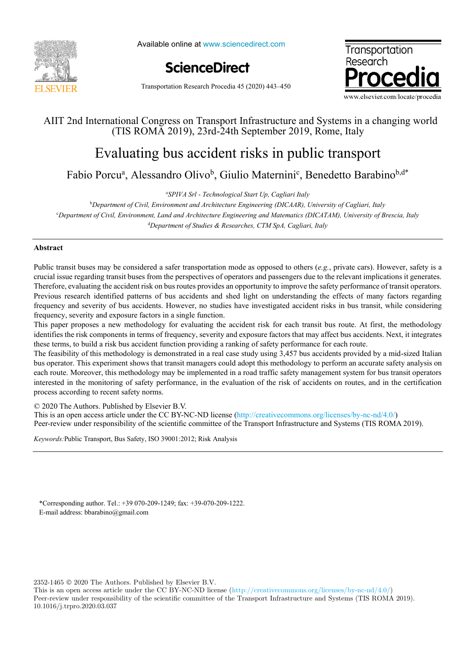

Available online at www.sciencedirect.com





Transportation Research Procedia 45 (2020) 443–450

## AIIT 2nd International Congress on Transport Infrastructure and Systems in a changing world (TIS ROMA 2019), 23rd-24th September 2019, Rome, Italy

# $E_{\rm c}$  and  $E_{\rm c}$  in public transported risks in public transported risks in public transported risks in public transported  $E_{\rm c}$ Evaluating bus accident risks in public transport

Fabio Porcua , Alessandro Olivob , Giulio Materninic , Benedetto Barabinob,d\* Fabio Porcu<sup>a</sup>, Alessandro Olivo<sup>b</sup>, Giulio Maternini<sup>c</sup>, Benedetto Barabino<sup>b,d\*</sup>

*Department of Civil, Environment and Architecture Engineering (DICAAR), University of Cagliari, Italy a SPIVA Srl - Technological Start Up, Cagliari Italy*

<sup>b</sup>Department of Civil, Environment and Architecture Engineering (DICAAR), University of Cagliari, Italy d *Department of Studies & Researches, CTM SpA, Cagliari, Italy* c *Department of Civil, Environment, Land and Architecture Engineeringand Matematics (DICATAM), University of Brescia, Italy* d *Department of Studies & Researches, CTM SpA, Cagliari, Italy*

## **Abstract Abstract**

Public transit buses may be considered a safer transportation mode as opposed to others (e.g., private cars). However, safety is a Public transit buses may be considered a safer transportation mode as opposed to others  $(e.g.,$  private cars). However, safety is a crucial issue regarding transit buses from the perspectives of operators and passengers due Therefore, evaluating the accident risk on bus routes provides an opportunity to improve the safety performance of transit operators. Therefore, evaluating the accident risk on bus routes provides an opportunity to improve the safety performance of transit operators.<br>Previous research identified patterns of bus accidents and shed light on understanding t frequency and severity of bus accidents. However, no studies have investigated accident risks in bus transit, while considering frequency, severity and exposure factors in a single function.

This paper proposes a new methodology for evaluating the accident risk for each transit bus route. At first, the methodology identifies the risk components in terms of frequency, severity and exposure factors that may affect bus accidents. Next, it integrates these terms, to build a risk bus accident function providing a ranking of safety performance for each route.

The feasibility of this methodology is demonstrated in a real case study using 3,457 bus accidents provided by a mid-sized Italian The feasibility of this methodology is demonstrated in a real case study using 3,457 bus accidents provided by a mid-sized Italian<br>bus operator. This experiment shows that transit managers could adopt this methodology to p each route. Moreover, this methodology may be implemented in a road traffic safety management system for bus transit operators each route. Moreover, this methodology may be implemented in a road traffic safety management system for bus transit operators<br>interested in the monitoring of safety performance, in the evaluation of the risk of accidents process according to recent safety norms.

© 2020 The Authors. Published by Elsevier B.V.

 $\approx$  2020 The Address article under the CC BY-NC-ND license (http://creativecommons.org/licenses/by-nc-nd/4.0/) Peer-review under responsibility of the scientific committee of the Transport Infrastructure and Systems (TIS ROMA 2019).  $\mathbf{P}$ 

*Keywords:*Public Transport, Bus Safety, ISO 39001:2012; Risk Analysis *Keywords:*Public Transport, Bus Safety, ISO 39001:2012; Risk Analysis

\*Corresponding author. Tel.: +39 070-209-1249; fax: +39-070-209-1222. E-mail address: bbarabino@gmail.com

2352-1465 2020 The Authors. Published by Elsevier B.V.

This is an open access article under the CC BY-NC-ND license (http://creativecommons.org/licenses/by-nc-nd/4.0/) Peer-review under responsibility of the scientific committee of the Transport Infrastructure and Systems (TIS ROMA 2019). 10.1016/j.trpro.2020.03.037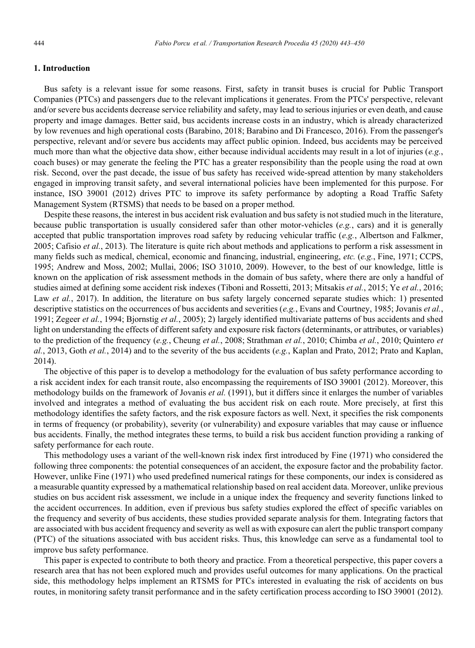## **1. Introduction**

Bus safety is a relevant issue for some reasons. First, safety in transit buses is crucial for Public Transport Companies (PTCs) and passengers due to the relevant implications it generates. From the PTCs' perspective, relevant and/or severe bus accidents decrease service reliability and safety, may lead to serious injuries or even death, and cause property and image damages. Better said, bus accidents increase costs in an industry, which is already characterized by low revenues and high operational costs (Barabino, 2018; Barabino and Di Francesco, 2016). From the passenger's perspective, relevant and/or severe bus accidents may affect public opinion. Indeed, bus accidents may be perceived much more than what the objective data show, either because individual accidents may result in a lot of injuries (*e.g.*, coach buses) or may generate the feeling the PTC has a greater responsibility than the people using the road at own risk. Second, over the past decade, the issue of bus safety has received wide-spread attention by many stakeholders engaged in improving transit safety, and several international policies have been implemented for this purpose. For instance, ISO 39001 (2012) drives PTC to improve its safety performance by adopting a Road Traffic Safety Management System (RTSMS) that needs to be based on a proper method.

Despite these reasons, the interest in bus accident risk evaluation and bus safety is not studied much in the literature, because public transportation is usually considered safer than other motor-vehicles (*e.g.*, cars) and it is generally accepted that public transportation improves road safety by reducing vehicular traffic (*e.g.*, Albertson and Falkmer, 2005; Cafisio *et al.*, 2013). The literature is quite rich about methods and applications to perform a risk assessment in many fields such as medical, chemical, economic and financing, industrial, engineering, *etc.* (*e.g.*, Fine, 1971; CCPS, 1995; Andrew and Moss, 2002; Mullai, 2006; ISO 31010, 2009). However, to the best of our knowledge, little is known on the application of risk assessment methods in the domain of bus safety, where there are only a handful of studies aimed at defining some accident risk indexes (Tiboni and Rossetti, 2013; Mitsakis *et al.*, 2015; Ye *et al.*, 2016; Law *et al.*, 2017). In addition, the literature on bus safety largely concerned separate studies which: 1) presented descriptive statistics on the occurrences of bus accidents and severities (*e.g.*, Evans and Courtney, 1985; Jovanis *et al.*, 1991; Zegeer *et al.*, 1994; Bjornstig *et al.*, 2005); 2) largely identified multivariate patterns of bus accidents and shed light on understanding the effects of different safety and exposure risk factors (determinants, or attributes, or variables) to the prediction of the frequency (*e.g.*, Cheung *et al.*, 2008; Strathman *et al.*, 2010; Chimba *et al.*, 2010; Quintero *et al.*, 2013, Goth *et al.*, 2014) and to the severity of the bus accidents (*e.g.*, Kaplan and Prato, 2012; Prato and Kaplan, 2014).

The objective of this paper is to develop a methodology for the evaluation of bus safety performance according to a risk accident index for each transit route, also encompassing the requirements of ISO 39001 (2012). Moreover, this methodology builds on the framework of Jovanis *et al.* (1991), but it differs since it enlarges the number of variables involved and integrates a method of evaluating the bus accident risk on each route. More precisely, at first this methodology identifies the safety factors, and the risk exposure factors as well. Next, it specifies the risk components in terms of frequency (or probability), severity (or vulnerability) and exposure variables that may cause or influence bus accidents. Finally, the method integrates these terms, to build a risk bus accident function providing a ranking of safety performance for each route.

This methodology uses a variant of the well-known risk index first introduced by Fine (1971) who considered the following three components: the potential consequences of an accident, the exposure factor and the probability factor. However, unlike Fine (1971) who used predefined numerical ratings for these components, our index is considered as a measurable quantity expressed by a mathematical relationship based on real accident data. Moreover, unlike previous studies on bus accident risk assessment, we include in a unique index the frequency and severity functions linked to the accident occurrences. In addition, even if previous bus safety studies explored the effect of specific variables on the frequency and severity of bus accidents, these studies provided separate analysis for them. Integrating factors that are associated with bus accident frequency and severity as well as with exposure can alert the public transport company (PTC) of the situations associated with bus accident risks. Thus, this knowledge can serve as a fundamental tool to improve bus safety performance.

This paper is expected to contribute to both theory and practice. From a theoretical perspective, this paper covers a research area that has not been explored much and provides useful outcomes for many applications. On the practical side, this methodology helps implement an RTSMS for PTCs interested in evaluating the risk of accidents on bus routes, in monitoring safety transit performance and in the safety certification process according to ISO 39001 (2012).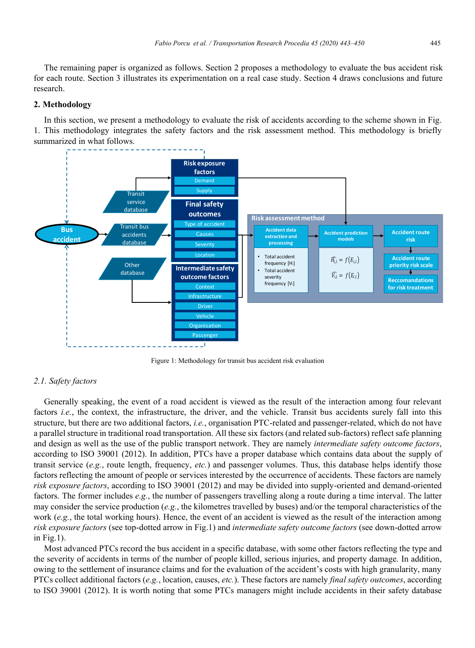The remaining paper is organized as follows. Section 2 proposes a methodology to evaluate the bus accident risk for each route. Section 3 illustrates its experimentation on a real case study. Section 4 draws conclusions and future research.

## **2. Methodology**

In this section, we present a methodology to evaluate the risk of accidents according to the scheme shown in Fig. 1. This methodology integrates the safety factors and the risk assessment method. This methodology is briefly summarized in what follows.



Figure 1: Methodology for transit bus accident risk evaluation

#### *2.1. Safety factors*

Generally speaking, the event of a road accident is viewed as the result of the interaction among four relevant factors *i.e.*, the context, the infrastructure, the driver, and the vehicle. Transit bus accidents surely fall into this structure, but there are two additional factors, *i.e.*, organisation PTC-related and passenger-related, which do not have a parallel structure in traditional road transportation. All these six factors (and related sub-factors) reflect safe planning and design as well as the use of the public transport network. They are namely *intermediate safety outcome factors*, according to ISO 39001 (2012). In addition, PTCs have a proper database which contains data about the supply of transit service (*e.g.*, route length, frequency, *etc.*) and passenger volumes. Thus, this database helps identify those factors reflecting the amount of people or services interested by the occurrence of accidents. These factors are namely *risk exposure factors*, according to ISO 39001 (2012) and may be divided into supply-oriented and demand-oriented factors. The former includes *e.g.*, the number of passengers travelling along a route during a time interval. The latter may consider the service production (*e.g.*, the kilometres travelled by buses) and/or the temporal characteristics of the work (*e.g.*, the total working hours). Hence, the event of an accident is viewed as the result of the interaction among *risk exposure factors* (see top-dotted arrow in Fig.1) and *intermediate safety outcome factors* (see down-dotted arrow in Fig.1).

Most advanced PTCs record the bus accident in a specific database, with some other factors reflecting the type and the severity of accidents in terms of the number of people killed, serious injuries, and property damage. In addition, owing to the settlement of insurance claims and for the evaluation of the accident's costs with high granularity, many PTCs collect additional factors (*e.g.*, location, causes, *etc.*). These factors are namely *final safety outcomes*, according to ISO 39001 (2012). It is worth noting that some PTCs managers might include accidents in their safety database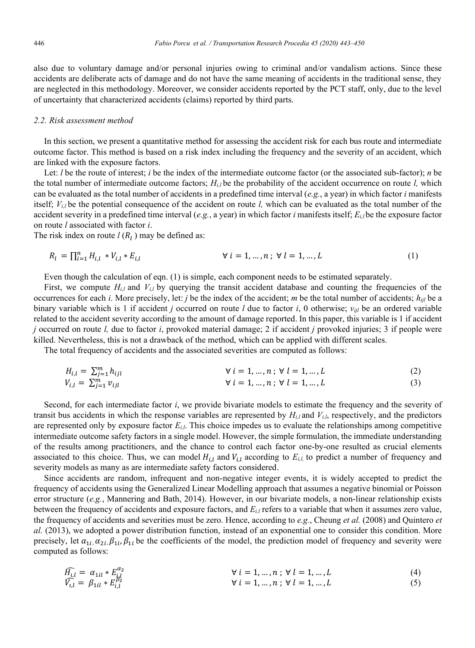also due to voluntary damage and/or personal injuries owing to criminal and/or vandalism actions. Since these accidents are deliberate acts of damage and do not have the same meaning of accidents in the traditional sense, they are neglected in this methodology. Moreover, we consider accidents reported by the PCT staff, only, due to the level of uncertainty that characterized accidents (claims) reported by third parts.

#### *2.2. Risk assessment method*

In this section, we present a quantitative method for assessing the accident risk for each bus route and intermediate outcome factor. This method is based on a risk index including the frequency and the severity of an accident, which are linked with the exposure factors.

Let: *l* be the route of interest; *i* be the index of the intermediate outcome factor (or the associated sub-factor); *n* be the total number of intermediate outcome factors;  $H_{i,l}$  be the probability of the accident occurrence on route *l*, which can be evaluated as the total number of accidents in a predefined time interval (*e.g.*, a year) in which factor *i* manifests itself; *Vi,l* be the potential consequence of the accident on route *l,* which can be evaluated as the total number of the accident severity in a predefined time interval ( $e.g.,$  a year) in which factor *i* manifests itself;  $E_i$  be the exposure factor on route *l* associated with factor *i*.

The risk index on route  $l(R_l)$  may be defined as:

$$
R_l = \prod_{i=1}^n H_{i,l} * V_{i,l} * E_{i,l} \qquad \forall i = 1, ..., n; \forall l = 1, ..., L \qquad (1)
$$

Even though the calculation of eqn. (1) is simple, each component needs to be estimated separately.

First, we compute  $H_{i,l}$  and  $V_{i,l}$  by querying the transit accident database and counting the frequencies of the occurrences for each *i*. More precisely, let: *j* be the index of the accident; *m* be the total number of accidents;  $h_{ijl}$  be a binary variable which is 1 if accident *j* occurred on route *l* due to factor *i*, 0 otherwise; *vijl* be an ordered variable related to the accident severity according to the amount of damage reported. In this paper, this variable is 1 if accident *j* occurred on route *l,* due to factor *i*, provoked material damage; 2 if accident *j* provoked injuries; 3 if people were killed. Nevertheless, this is not a drawback of the method, which can be applied with different scales.

The total frequency of accidents and the associated severities are computed as follows:

$$
H_{i,l} = \sum_{j=1}^{m} h_{ijl} \qquad \forall i = 1, ..., n; \forall l = 1, ..., L \qquad (2)
$$

$$
V_{i,l} = \sum_{j=1}^{m} v_{ijl} \qquad \forall i = 1, ..., n; \forall l = 1, ..., L \qquad (3)
$$

Second, for each intermediate factor *i*, we provide bivariate models to estimate the frequency and the severity of transit bus accidents in which the response variables are represented by  $H<sub>i,l</sub>$  and  $V<sub>i,l</sub>$ , respectively, and the predictors are represented only by exposure factor *Ei,l*. This choice impedes us to evaluate the relationships among competitive intermediate outcome safety factors in a single model. However, the simple formulation, the immediate understanding of the results among practitioners, and the chance to control each factor one-by-one resulted as crucial elements associated to this choice. Thus, we can model  $H_{i,l}$  and  $V_{i,l}$  according to  $E_{i,l}$  to predict a number of frequency and severity models as many as are intermediate safety factors considered.

Since accidents are random, infrequent and non-negative integer events, it is widely accepted to predict the frequency of accidents using the Generalized Linear Modelling approach that assumes a negative binomial or Poisson error structure (*e.g.*, Mannering and Bath, 2014). However, in our bivariate models, a non-linear relationship exists between the frequency of accidents and exposure factors, and  $E_{i,l}$  refers to a variable that when it assumes zero value, the frequency of accidents and severities must be zero. Hence, according to *e.g.*, Cheung *et al.* (2008) and Quintero *et al.* (2013), we adopted a power distribution function, instead of an exponential one to consider this condition. More precisely, let  $\alpha_{1i}$ ,  $\alpha_{2i}$ ,  $\beta_{1i}$ ,  $\beta_{1i}$  be the coefficients of the model, the prediction model of frequency and severity were computed as follows:

$$
\widehat{H_{i,l}} = \alpha_{1il} * E_{jkl}^{\alpha_2} \qquad \forall i = 1, ..., n; \forall l = 1, ..., L
$$
\n(4)  
\n
$$
\widehat{V_{i,l}} = \beta_{1il} * E_{i,l}^{\beta_2} \qquad \forall i = 1, ..., n; \forall l = 1, ..., L
$$
\n(5)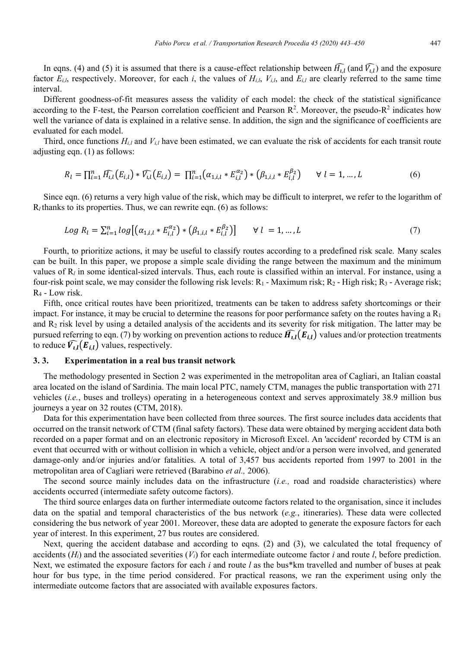In eqns. (4) and (5) it is assumed that there is a cause-effect relationship between  $H_{i,l}$  (and  $V_{i,l}$ ) and the exposure factor  $E_{i,l}$ , respectively. Moreover, for each *i*, the values of  $H_{i,l}$ ,  $V_{i,l}$ , and  $E_{i,l}$  are clearly referred to the same time interval.

Different goodness-of-fit measures assess the validity of each model: the check of the statistical significance according to the F-test, the Pearson correlation coefficient and Pearson  $\mathbb{R}^2$ . Moreover, the pseudo- $\mathbb{R}^2$  indicates how well the variance of data is explained in a relative sense. In addition, the sign and the significance of coefficients are evaluated for each model.

Third, once functions  $H_{i,l}$  and  $V_{i,l}$  have been estimated, we can evaluate the risk of accidents for each transit route adjusting eqn. (1) as follows:

$$
R_l = \prod_{i=1}^n \widehat{H_{l,l}}(E_{i,l}) * \widehat{V_{l,l}}(E_{i,l}) = \prod_{i=1}^n (\alpha_{1,i,l} * E_{i,l}^{\alpha_2}) * (\beta_{1,i,l} * E_{i,l}^{\beta_2}) \qquad \forall \ l = 1, ..., L
$$
 (6)

Since eqn. (6) returns a very high value of the risk, which may be difficult to interpret, we refer to the logarithm of  $R_l$  thanks to its properties. Thus, we can rewrite eqn. (6) as follows:

$$
Log R_l = \sum_{i=1}^n log[(\alpha_{1,i,l} * E_{i,l}^{\alpha_2}) * (\beta_{1,i,l} * E_{i,l}^{\beta_2})] \qquad \forall l = 1,...,L
$$
 (7)

Fourth, to prioritize actions, it may be useful to classify routes according to a predefined risk scale. Many scales can be built. In this paper, we propose a simple scale dividing the range between the maximum and the minimum values of R*<sup>l</sup>* in some identical-sized intervals. Thus, each route is classified within an interval. For instance, using a four-risk point scale, we may consider the following risk levels:  $R_1$  - Maximum risk;  $R_2$  - High risk;  $R_3$  - Average risk; R4 - Low risk.

Fifth, once critical routes have been prioritized, treatments can be taken to address safety shortcomings or their impact. For instance, it may be crucial to determine the reasons for poor performance safety on the routes having a  $R_1$ and  $R<sub>2</sub>$  risk level by using a detailed analysis of the accidents and its severity for risk mitigation. The latter may be pursued referring to eqn. (7) by working on prevention actions to reduce  $\widehat{H_{i,l}}(E_{i,l})$  values and/or protection treatments to reduce  $\widehat{V_{i,l}}(E_{i,l})$  values, respectively.

## **3. 3. Experimentation in a real bus transit network**

The methodology presented in Section 2 was experimented in the metropolitan area of Cagliari, an Italian coastal area located on the island of Sardinia. The main local PTC, namely CTM, manages the public transportation with 271 vehicles (*i.e.*, buses and trolleys) operating in a heterogeneous context and serves approximately 38.9 million bus journeys a year on 32 routes (CTM, 2018).

Data for this experimentation have been collected from three sources. The first source includes data accidents that occurred on the transit network of CTM (final safety factors). These data were obtained by merging accident data both recorded on a paper format and on an electronic repository in Microsoft Excel. An 'accident' recorded by CTM is an event that occurred with or without collision in which a vehicle, object and/or a person were involved, and generated damage-only and/or injuries and/or fatalities. A total of 3,457 bus accidents reported from 1997 to 2001 in the metropolitan area of Cagliari were retrieved (Barabino *et al.,* 2006).

The second source mainly includes data on the infrastructure (*i.e.,* road and roadside characteristics) where accidents occurred (intermediate safety outcome factors).

The third source enlarges data on further intermediate outcome factors related to the organisation, since it includes data on the spatial and temporal characteristics of the bus network (*e.g.*, itineraries). These data were collected considering the bus network of year 2001. Moreover, these data are adopted to generate the exposure factors for each year of interest. In this experiment, 27 bus routes are considered.

Next, quering the accident database and according to eqns. (2) and (3), we calculated the total frequency of accidents  $(H_i)$  and the associated severities  $(V_i)$  for each intermediate outcome factor *i* and route *l*, before prediction. Next, we estimated the exposure factors for each *i* and route *l* as the bus\*km travelled and number of buses at peak hour for bus type, in the time period considered. For practical reasons, we ran the experiment using only the intermediate outcome factors that are associated with available exposures factors.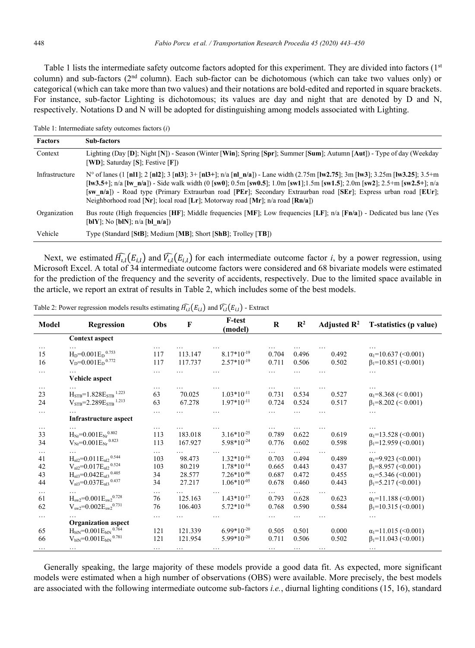Table 1 lists the intermediate safety outcome factors adopted for this experiment. They are divided into factors  $(1<sup>st</sup>$ column) and sub-factors ( $2<sup>nd</sup>$  column). Each sub-factor can be dichotomous (which can take two values only) or categorical (which can take more than two values) and their notations are bold-edited and reported in square brackets. For instance, sub-factor Lighting is dichotomous; its values are day and night that are denoted by D and N, respectively. Notations D and N will be adopted for distinguishing among models associated with Lighting.

Table 1: Intermediate safety outcomes factors (*i*)

| <b>Factors</b> | Sub-factors                                                                                                                                                                                                                                                                                                                                                                                                                                                                                          |
|----------------|------------------------------------------------------------------------------------------------------------------------------------------------------------------------------------------------------------------------------------------------------------------------------------------------------------------------------------------------------------------------------------------------------------------------------------------------------------------------------------------------------|
| Context        | Lighting (Day [D]; Night [N]) - Season (Winter [Win]; Spring [Spr]; Summer [Sum]; Autumn [Aut]) - Type of day (Weekday<br>[WD]; Saturday [S]; Festive [F])                                                                                                                                                                                                                                                                                                                                           |
| Infrastructure | N° of lanes (1 [nl1]; 2 [nl2]; 3 [nl3]; 3+ [nl3+]; n/a [nl n/a]) - Lane width (2.75m [lw2.75]; 3m [lw3]; 3.25m [lw3.25]; 3.5+m<br>[ $[w3.5+]$ ; n/a [ $[w_n/a]$ ] - Side walk width (0 [ $sw0$ ]; 0.5m [ $sw0.5$ ]; 1.0m [ $sw1$ ]; 1.5m [ $sw1.5$ ]; 2.0m [ $sw2$ ]; 2.5+m [ $sw2.5$ +]; n/a<br>[sw n/a]) - Road type (Primary Extraurban road [PEr]; Secondary Extraurban road [SEr]; Express urban road [EUr];<br>Neighborhood road [Nr]; local road [Lr]; Motorway road [Mr]; $n/a$ road [Rn/a]) |
| Organization   | Bus route (High frequencies [HF]; Middle frequencies [MF]; Low frequencies [LF]; $n/a$ [Fn/a]) - Dedicated bus lane (Yes<br>[blY]; No [blN]; $n/a$ [bl $n/a$ ])                                                                                                                                                                                                                                                                                                                                      |
| Vehicle        | Type (Standard [StB]; Medium [MB]; Short [ShB]; Trolley [TB])                                                                                                                                                                                                                                                                                                                                                                                                                                        |

Next, we estimated  $\widehat{H_{i,l}}(E_{i,l})$  and  $\widehat{V_{i,l}}(E_{i,l})$  for each intermediate outcome factor *i*, by a power regression, using Microsoft Excel. A total of 34 intermediate outcome factors were considered and 68 bivariate models were estimated for the prediction of the frequency and the severity of accidents, respectively. Due to the limited space available in the article, we report an extrat of results in Table 2, which includes some of the best models.

| Model                            | Regression                                                                                                                                                                          | Obs                                | F                                    | <b>F-test</b><br>(model)                                             | $\bf R$                          | $\mathbb{R}^2$                               | Adjusted $\mathbb{R}^2$          | T-statistics (p value)                                                                                                                |
|----------------------------------|-------------------------------------------------------------------------------------------------------------------------------------------------------------------------------------|------------------------------------|--------------------------------------|----------------------------------------------------------------------|----------------------------------|----------------------------------------------|----------------------------------|---------------------------------------------------------------------------------------------------------------------------------------|
|                                  | <b>Context aspect</b>                                                                                                                                                               |                                    |                                      |                                                                      |                                  |                                              |                                  |                                                                                                                                       |
| $\cdots$<br>15<br>16             | $H_D = 0.001 E_D^{0.753}$<br>$V_D = 0.001 E_D^{0.772}$                                                                                                                              | $\cdots$<br>117<br>117             | 113.147<br>117.737                   | $8.17*10^{-19}$<br>$2.57*10^{-19}$                                   | 0.704<br>0.711                   | 0.496<br>0.506                               | 0.492<br>0.502                   | $\alpha_1 = 10.637$ (<0.001)<br>$\beta_1 = 10.851$ (<0.001)                                                                           |
| $\cdots$                         | Vehicle aspect                                                                                                                                                                      | $\cdots$                           |                                      |                                                                      | .                                |                                              |                                  |                                                                                                                                       |
| $\cdots$<br>23<br>24             | $\rm H_{STB}\!\!=\!\!1.828E_{STB}$ $^{1.223}$<br>$V_{STB} = 2.289 E_{STB}$ <sup>1.213</sup>                                                                                         | $\cdots$<br>63<br>63               | 70.025<br>67.278                     | $1.03*10-11$<br>$1.97*10^{-11}$                                      | 0.731<br>0.724                   | 0.534<br>0.524                               | 0.527<br>0.517                   | $\alpha_1 = 8.368 \leq 0.001$<br>$\beta_1 = 8.202 \leq 0.001$                                                                         |
| $\cdots$                         | .<br>Infrastructure aspect                                                                                                                                                          |                                    |                                      |                                                                      |                                  |                                              |                                  |                                                                                                                                       |
| $\cdots$<br>33<br>34             | $H_{Nr} = 0.001 E_{Nr}^{0.802}$<br>$\rm V_{\rm Nr}\!\! =\!\! 0.001 E_{\rm Nr}^{-0.823}$                                                                                             | $\cdots$<br>113<br>113             | 183.018<br>167.927                   | $3.16*10^{-25}$<br>$5.98*10^{-24}$                                   | 0.789<br>0.776                   | 0.622<br>0.602                               | 0.619<br>0.598                   | $\alpha_1 = 13.528$ (< 0.001)<br>$\beta_1 = 12.959$ (<0.001)                                                                          |
| $\cdots$<br>41<br>42<br>43<br>44 | $H_{nl2}$ =0.011 $E_{nl2}$ <sup>0.544</sup><br>$V_{nl2}$ =0.017E <sub>nl2</sub> <sup>0.524</sup><br>$H_{nl3} = 0.042 E_{nl3}$ <sup>0.405</sup><br>$V_{nl3} = 0.037 E_{nl3}^{0.437}$ | $\cdots$<br>103<br>103<br>34<br>34 | 98.473<br>80.219<br>28.577<br>27.217 | $1.32*10^{-16}$<br>$1.78*10-14$<br>$7.26*10^{06}$<br>$1.06*10^{-05}$ | 0.703<br>0.665<br>0.687<br>0.678 | $\cdots$<br>0.494<br>0.443<br>0.472<br>0.460 | 0.489<br>0.437<br>0.455<br>0.443 | $\alpha_1 = 9.923$ (< 0.001)<br>$\beta_1 = 8.957 \, (\leq 0.001)$<br>$\alpha_1 = 5.346$ (<0.001)<br>$\beta_1 = 5.217 \, (\leq 0.001)$ |
| $\cdots$<br>61<br>62             | .<br>$\rm H_{sw2}\!\!=\!\!0.001E_{sw2}^{0.728}$<br>$V_{sw2} = 0.002 E_{sw2}^{0.731}$                                                                                                | $\cdots$<br>76<br>76               | 125.163<br>106.403                   | $1.43*10^{-17}$<br>$5.72*10-16$                                      | $\cdots$<br>0.793<br>0.768       | $\cdots$<br>0.628<br>0.590                   | .<br>0.623<br>0.584              | .<br>$\alpha_1 = 11.188$ (<0.001)<br>$\beta_1 = 10.315$ (<0.001)                                                                      |
| $\cdots$<br>65<br>66             | <b>Organization aspect</b><br>$H_{blN} = 0.001 E_{blN}$ <sup>0.764</sup><br>$V_{blN} = 0.001 E_{blN}$ <sup>0.781</sup>                                                              | $\cdots$<br>121<br>121             | 121.339<br>121.954                   | $6.99*10^{-20}$<br>$5.99*10^{-20}$                                   | 0.505<br>0.711                   | 0.501<br>0.506                               | 0.000<br>0.502                   | .<br>$\alpha_1 = 11.015$ (<0.001)<br>$\beta_1 = 11.043$ (<0.001)                                                                      |
| $\cdots$                         | $\cdots$                                                                                                                                                                            | $\cdots$                           | $\cdots$                             | $\cdots$                                                             | $\cdots$                         | $\cdots$                                     | $\cdots$                         | $\cdots$                                                                                                                              |

Table 2: Power regression models results estimating  $H_{i,l}(E_{i,l})$  and  $V_{i,l}(E_{i,l})$  - Extract

Generally speaking, the large majority of these models provide a good data fit. As expected, more significant models were estimated when a high number of observations (OBS) were available. More precisely, the best models are associated with the following intermediate outcome sub-factors *i.e.*, diurnal lighting conditions (15, 16), standard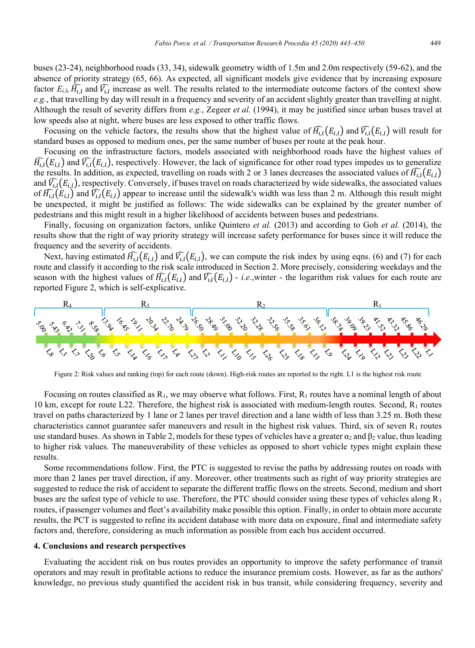absence of priority strategy (65, 66). As expected, all significant models give evidence that by increasing exposure factor  $E_{i,l}$ ,  $H_{i,l}$  and  $V_{i,l}$  increase as well. The results related to the intermediate outcome factors of the context show *e.g.*, that travelling by day will result in a frequency and severity of an accident slightly greater than travelling at night. Although the result of severity differs from *e.g.*, Zegeer *et al.* (1994), it may be justified since urban buses travel at low speeds also at night, where buses are less exposed to other traffic flows.

Focusing on the vehicle factors, the results show that the highest value of  $\overline{H}_{i,l}(E_{i,l})$  and  $\overline{V}_{i,l}(E_{i,l})$  will result for standard buses as opposed to medium ones, per the same number of buses per route at the peak hour.

Focusing on the infrastructure factors, models associated with neighborhood roads have the highest values of  $\widehat{H_{i,l}}(E_{i,l})$  and  $\widehat{V_{i,l}}(E_{i,l})$ , respectively. However, the lack of significance for other road types impedes us to generalize the results. In addition, as expected, travelling on roads with 2 or 3 lanes decreases the associated values of  $\widehat{H}_{i,l}(E_{i,l})$ and  $\bar{V}_{i,l}(E_{i,l})$ , respectively. Conversely, if buses travel on roads characterized by wide sidewalks, the associated values of  $\bar{H}_{i,l}(E_{i,l})$  and  $\bar{V}_{i,l}(E_{i,l})$  appear to increase until the sidewalk's width was less than 2 m. Although this result might be unexpected, it might be justified as follows: The wide sidewalks can be explained by the greater number of pedestrians and this might result in a higher likelihood of accidents between buses and pedestrians.

Finally, focusing on organization factors, unlike Quintero *et al.* (2013) and according to Goh *et al.* (2014), the results show that the right of way priority strategy will increase safety performance for buses since it will reduce the frequency and the severity of accidents.

Next, having estimated  $\bar{H}_{i,l}(E_{i,l})$  and  $\bar{V}_{i,l}(E_{i,l})$ , we can compute the risk index by using eqns. (6) and (7) for each route and classify it according to the risk scale introduced in Section 2. More precisely, considering weekdays and the season with the highest values of  $\overline{H_{i,l}}(E_{i,l})$  and  $\overline{V_{i,l}}(E_{i,l})$  - *i.e.*, winter - the logarithm risk values for each route are reported Figure 2, which is self-explicative.



Figure 2: Risk values and ranking (top) for each route (down). High-risk routes are reported to the right. L1 is the highest risk route

Focusing on routes classified as  $R_1$ , we may observe what follows. First,  $R_1$  routes have a nominal length of about 10 km, except for route L22. Therefore, the highest risk is associated with medium-length routes. Second, R<sub>1</sub> routes travel on paths characterized by 1 lane or 2 lanes per travel direction and a lane width of less than 3.25 m. Both these characteristics cannot guarantee safer maneuvers and result in the highest risk values. Third, six of seven  $R_1$  routes use standard buses. As shown in Table 2, models for these types of vehicles have a greater  $\alpha_2$  and  $\beta_2$  value, thus leading to higher risk values. The maneuverability of these vehicles as opposed to short vehicle types might explain these results.

Some recommendations follow. First, the PTC is suggested to revise the paths by addressing routes on roads with more than 2 lanes per travel direction, if any. Moreover, other treatments such as right of way priority strategies are suggested to reduce the risk of accident to separate the different traffic flows on the streets. Second, medium and short buses are the safest type of vehicle to use. Therefore, the PTC should consider using these types of vehicles along  $R_1$ routes, if passenger volumes and fleet's availability make possible this option. Finally, in order to obtain more accurate results, the PCT is suggested to refine its accident database with more data on exposure, final and intermediate safety factors and, therefore, considering as much information as possible from each bus accident occurred.

## **4. Conclusions and research perspectives**

Evaluating the accident risk on bus routes provides an opportunity to improve the safety performance of transit operators and may result in profitable actions to reduce the insurance premium costs. However, as far as the authors' knowledge, no previous study quantified the accident risk in bus transit, while considering frequency, severity and